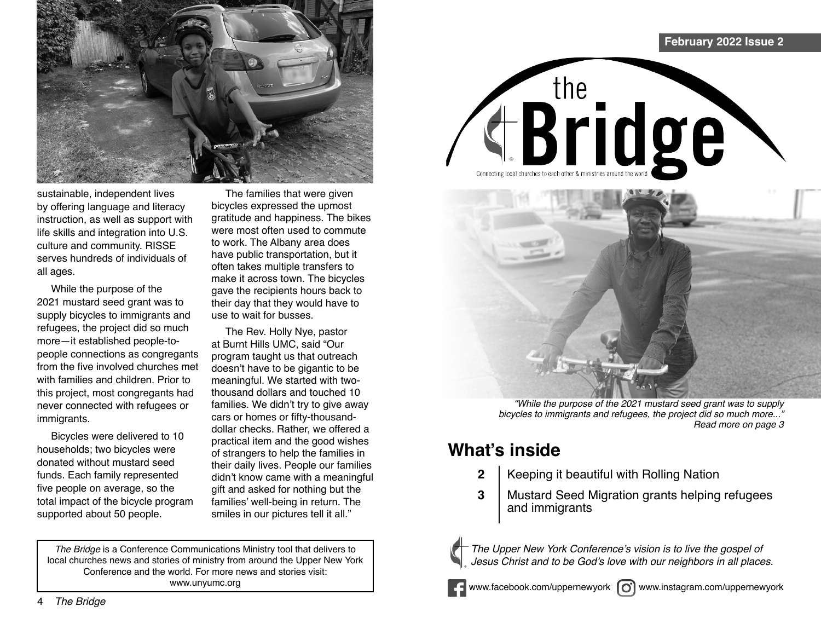

sustainable, independent lives by offering language and literacy instruction, as well as support with life skills and integration into U.S. culture and community. RISSE serves hundreds of individuals of all ages.

While the purpose of the 2021 mustard seed grant was to supply bicycles to immigrants and refugees, the project did so much more—it established people-topeople connections as congregants from the five involved churches met with families and children. Prior to this project, most congregants had never connected with refugees or immigrants.

Bicycles were delivered to 10 households; two bicycles were donated without mustard seed funds. Each family represented five people on average, so the total impact of the bicycle program supported about 50 people.

The families that were given bicycles expressed the upmost gratitude and happiness. The bikes were most often used to commute to work. The Albany area does have public transportation, but it often takes multiple transfers to make it across town. The bicycles gave the recipients hours back to their day that they would have to use to wait for busses.

The Rev. Holly Nye, pastor at Burnt Hills UMC, said "Our program taught us that outreach doesn't have to be gigantic to be meaningful. We started with twothousand dollars and touched 10 families. We didn't try to give away cars or homes or fifty-thousanddollar checks. Rather, we offered a practical item and the good wishes of strangers to help the families in their daily lives. People our families didn't know came with a meaningful gift and asked for nothing but the families' well-being in return. The smiles in our pictures tell it all."

*The Bridge* is a Conference Communications Ministry tool that delivers to local churches news and stories of ministry from around the Upper New York Conference and the world. For more news and stories visit: www.unyumc.org



## **What's inside**

**2** | Keeping it beautiful with Rolling Nation

the **Bridge** 

Mustard Seed Migration grants helping refugees and immigrants **3**



The Upper New York Conference's vision is to live the gospel of Jesus Christ and to be God's love with our neighbors in all places.

www.facebook.com/uppernewyork  $\omega$  www.instagram.com/uppernewyork